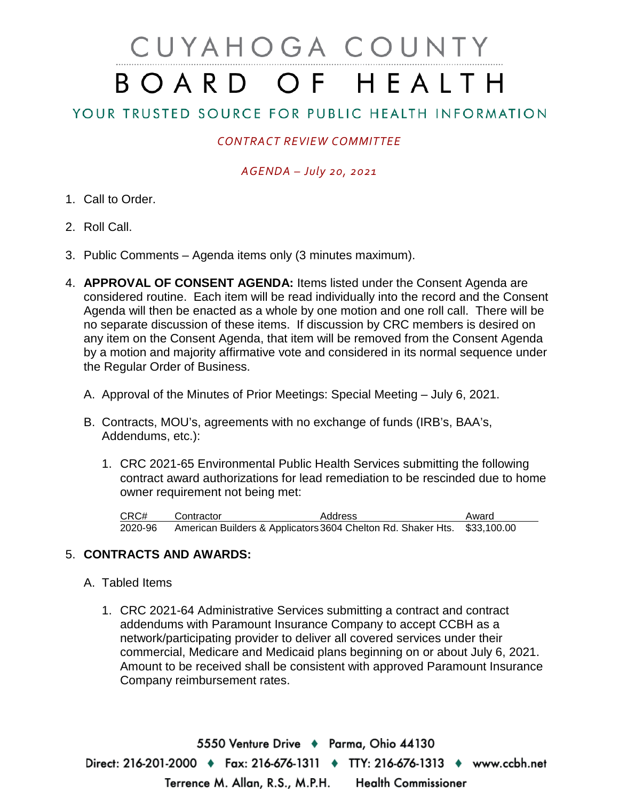# CUYAHOGA COUNTY BOARD OF HEALTH

## YOUR TRUSTED SOURCE FOR PUBLIC HEALTH INFORMATION

## *CONTRACT REVIEW COMMITTEE*

### *AGENDA – July 20, 2021*

- 1. Call to Order.
- 2. Roll Call.
- 3. Public Comments Agenda items only (3 minutes maximum).
- 4. **APPROVAL OF CONSENT AGENDA:** Items listed under the Consent Agenda are considered routine. Each item will be read individually into the record and the Consent Agenda will then be enacted as a whole by one motion and one roll call. There will be no separate discussion of these items. If discussion by CRC members is desired on any item on the Consent Agenda, that item will be removed from the Consent Agenda by a motion and majority affirmative vote and considered in its normal sequence under the Regular Order of Business.
	- A. Approval of the Minutes of Prior Meetings: Special Meeting July 6, 2021.
	- B. Contracts, MOU's, agreements with no exchange of funds (IRB's, BAA's, Addendums, etc.):
		- 1. CRC 2021-65 Environmental Public Health Services submitting the following contract award authorizations for lead remediation to be rescinded due to home owner requirement not being met:

CRC# Contractor **Address** Award 2020-96 American Builders & Applicators3604 Chelton Rd. Shaker Hts. \$33,100.00

### 5. **CONTRACTS AND AWARDS:**

- A. Tabled Items
	- 1. CRC 2021-64 Administrative Services submitting a contract and contract addendums with Paramount Insurance Company to accept CCBH as a network/participating provider to deliver all covered services under their commercial, Medicare and Medicaid plans beginning on or about July 6, 2021. Amount to be received shall be consistent with approved Paramount Insurance Company reimbursement rates.

5550 Venture Drive + Parma, Ohio 44130 Direct: 216-201-2000 ♦ Fax: 216-676-1311 ♦ TTY: 216-676-1313 ♦ www.ccbh.net Terrence M. Allan, R.S., M.P.H. **Health Commissioner**